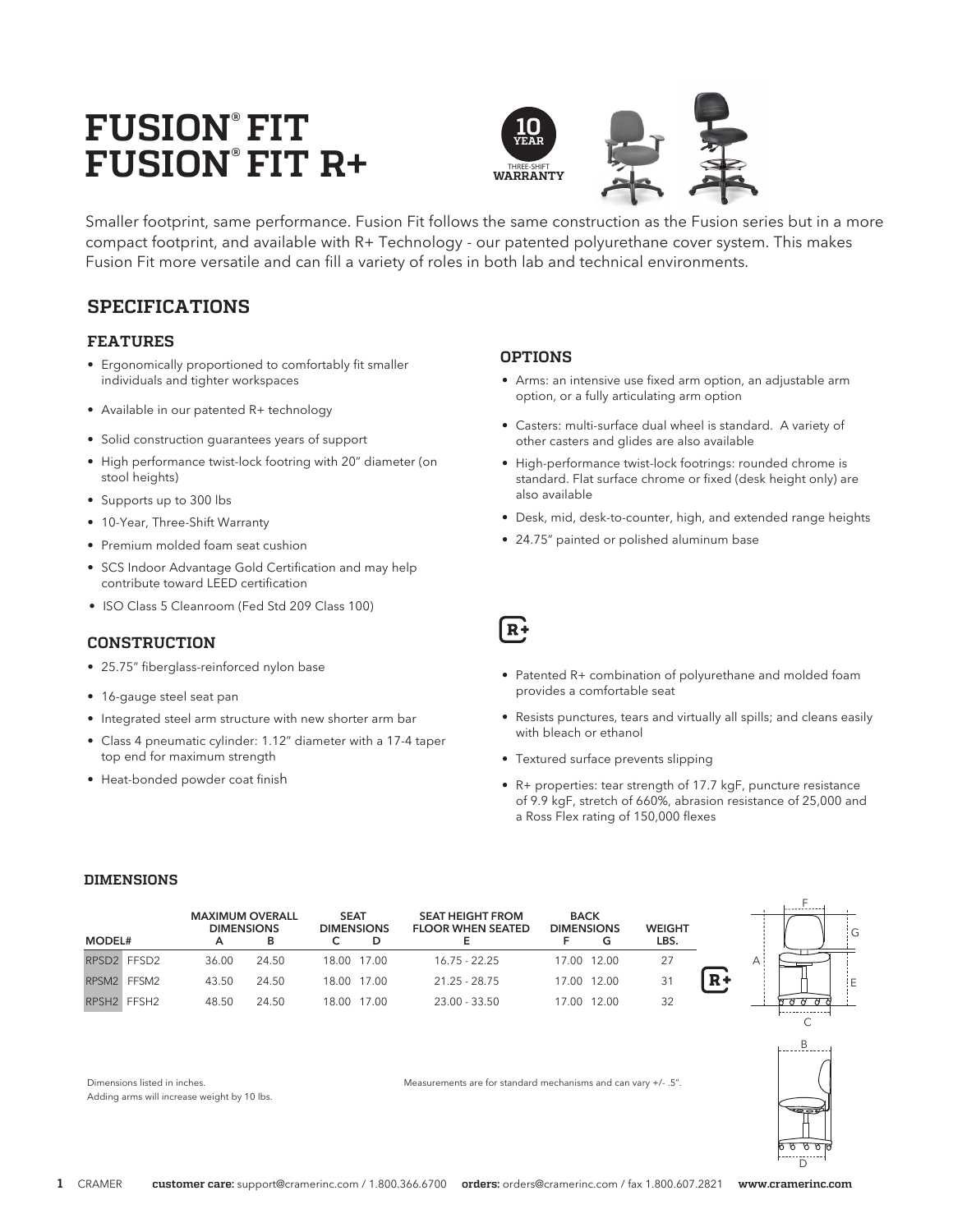# **FUSION® FIT FUSION® FIT R+**



Smaller footprint, same performance. Fusion Fit follows the same construction as the Fusion series but in a more compact footprint, and available with R+ Technology - our patented polyurethane cover system. This makes Fusion Fit more versatile and can fill a variety of roles in both lab and technical environments.

# **SPECIFICATIONS**

## **FEATURES**

- Ergonomically proportioned to comfortably fit smaller individuals and tighter workspaces
- Available in our patented R+ technology
- Solid construction guarantees years of support
- High performance twist-lock footring with 20" diameter (on stool heights)
- Supports up to 300 lbs
- 10-Year, Three-Shift Warranty
- Premium molded foam seat cushion
- SCS Indoor Advantage Gold Certification and may help contribute toward LEED certification
- ISO Class 5 Cleanroom (Fed Std 209 Class 100)

## **CONSTRUCTION**

- 25.75" fiberglass-reinforced nylon base
- 16-gauge steel seat pan
- Integrated steel arm structure with new shorter arm bar
- Class 4 pneumatic cylinder: 1.12" diameter with a 17-4 taper top end for maximum strength
- Heat-bonded powder coat finish

## **OPTIONS**

- Arms: an intensive use fixed arm option, an adjustable arm option, or a fully articulating arm option
- Casters: multi-surface dual wheel is standard. A variety of other casters and glides are also available
- High-performance twist-lock footrings: rounded chrome is standard. Flat surface chrome or fixed (desk height only) are also available
- Desk, mid, desk-to-counter, high, and extended range heights
- 24.75" painted or polished aluminum base



- Patented R+ combination of polyurethane and molded foam provides a comfortable seat
- Resists punctures, tears and virtually all spills; and cleans easily with bleach or ethanol
- Textured surface prevents slipping
- R+ properties: tear strength of 17.7 kgF, puncture resistance of 9.9 kgF, stretch of 660%, abrasion resistance of 25,000 and a Ross Flex rating of 150,000 flexes

#### **DIMENSIONS**

|               | <b>MAXIMUM OVERALL</b><br><b>DIMENSIONS</b> |       | <b>SEAT</b><br><b>DIMENSIONS</b> |             | <b>SEAT HEIGHT FROM</b><br><b>FLOOR WHEN SEATED</b> | <b>BACK</b><br><b>DIMENSIONS</b> | <b>WEIGHT</b> |      |  |
|---------------|---------------------------------------------|-------|----------------------------------|-------------|-----------------------------------------------------|----------------------------------|---------------|------|--|
| <b>MODEL#</b> | А                                           | в     |                                  |             |                                                     |                                  | LBS.          |      |  |
| RPSD2 FFSD2   | 36.00                                       | 24.50 |                                  | 18.00 17.00 | $16.75 - 22.25$                                     | 17.00 12.00                      |               |      |  |
| RPSM2 FFSM2   | 43.50                                       | 24.50 |                                  | 18.00 17.00 | $21.25 - 28.75$                                     | 17.00 12.00                      | 31            | $R+$ |  |
| RPSH2 FFSH2   | 48.50                                       | 24.50 |                                  | 18.00 17.00 | 23.00 - 33.50                                       | 17.00 12.00                      | 32            |      |  |



C



Dimensions listed in inches.

Adding arms will increase weight by 10 lbs.